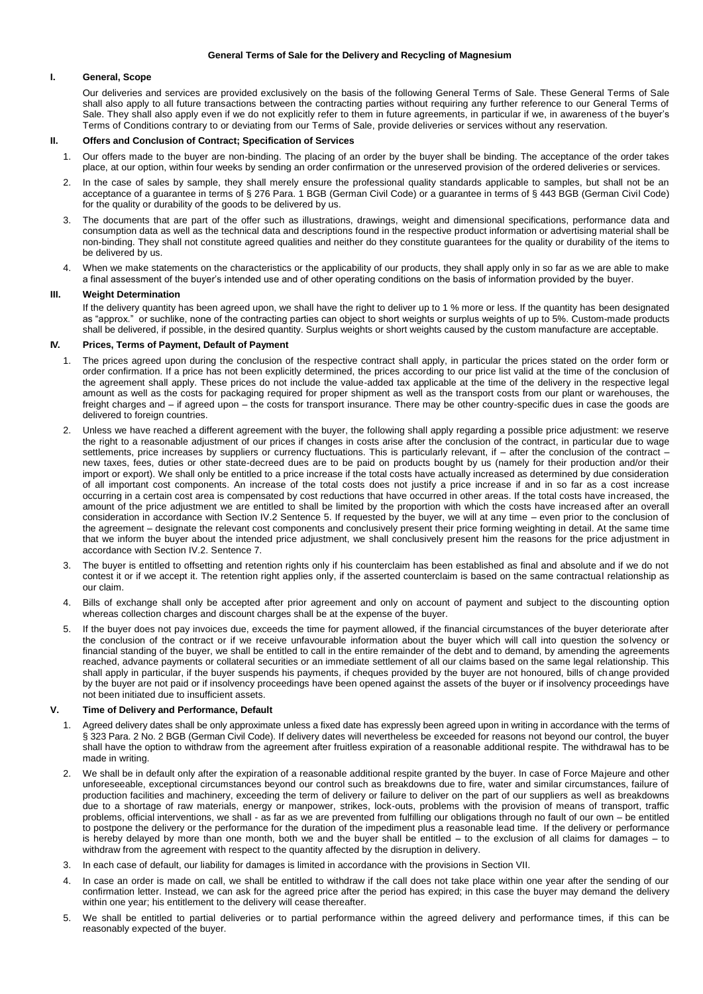#### **General Terms of Sale for the Delivery and Recycling of Magnesium**

## **I. General, Scope**

Our deliveries and services are provided exclusively on the basis of the following General Terms of Sale. These General Terms of Sale shall also apply to all future transactions between the contracting parties without requiring any further reference to our General Terms of Sale. They shall also apply even if we do not explicitly refer to them in future agreements, in particular if we, in awareness of the buyer's Terms of Conditions contrary to or deviating from our Terms of Sale, provide deliveries or services without any reservation.

#### **II. Offers and Conclusion of Contract; Specification of Services**

- 1. Our offers made to the buyer are non-binding. The placing of an order by the buyer shall be binding. The acceptance of the order takes place, at our option, within four weeks by sending an order confirmation or the unreserved provision of the ordered deliveries or services.
- 2. In the case of sales by sample, they shall merely ensure the professional quality standards applicable to samples, but shall not be an acceptance of a guarantee in terms of § 276 Para. 1 BGB (German Civil Code) or a guarantee in terms of § 443 BGB (German Civil Code) for the quality or durability of the goods to be delivered by us.
- 3. The documents that are part of the offer such as illustrations, drawings, weight and dimensional specifications, performance data and consumption data as well as the technical data and descriptions found in the respective product information or advertising material shall be non-binding. They shall not constitute agreed qualities and neither do they constitute guarantees for the quality or durability of the items to be delivered by us.
- 4. When we make statements on the characteristics or the applicability of our products, they shall apply only in so far as we are able to make a final assessment of the buyer's intended use and of other operating conditions on the basis of information provided by the buyer.

## **III. Weight Determination**

If the delivery quantity has been agreed upon, we shall have the right to deliver up to 1 % more or less. If the quantity has been designated as "approx." or suchlike, none of the contracting parties can object to short weights or surplus weights of up to 5%. Custom-made products shall be delivered, if possible, in the desired quantity. Surplus weights or short weights caused by the custom manufacture are acceptable.

# **IV. Prices, Terms of Payment, Default of Payment**

- 1. The prices agreed upon during the conclusion of the respective contract shall apply, in particular the prices stated on the order form or order confirmation. If a price has not been explicitly determined, the prices according to our price list valid at the time of the conclusion of the agreement shall apply. These prices do not include the value-added tax applicable at the time of the delivery in the respective legal amount as well as the costs for packaging required for proper shipment as well as the transport costs from our plant or warehouses, the freight charges and – if agreed upon – the costs for transport insurance. There may be other country-specific dues in case the goods are delivered to foreign countries.
- 2. Unless we have reached a different agreement with the buyer, the following shall apply regarding a possible price adjustment: we reserve the right to a reasonable adjustment of our prices if changes in costs arise after the conclusion of the contract, in particular due to wage settlements, price increases by suppliers or currency fluctuations. This is particularly relevant, if – after the conclusion of the contract – new taxes, fees, duties or other state-decreed dues are to be paid on products bought by us (namely for their production and/or their import or export). We shall only be entitled to a price increase if the total costs have actually increased as determined by due consideration of all important cost components. An increase of the total costs does not justify a price increase if and in so far as a cost increase occurring in a certain cost area is compensated by cost reductions that have occurred in other areas. If the total costs have increased, the amount of the price adjustment we are entitled to shall be limited by the proportion with which the costs have increased after an overall consideration in accordance with Section IV.2 Sentence 5. If requested by the buyer, we will at any time – even prior to the conclusion of the agreement – designate the relevant cost components and conclusively present their price forming weighting in detail. At the same time that we inform the buyer about the intended price adjustment, we shall conclusively present him the reasons for the price adjustment in accordance with Section IV.2. Sentence 7.
- 3. The buyer is entitled to offsetting and retention rights only if his counterclaim has been established as final and absolute and if we do not contest it or if we accept it. The retention right applies only, if the asserted counterclaim is based on the same contractual relationship as our claim.
- 4. Bills of exchange shall only be accepted after prior agreement and only on account of payment and subject to the discounting option whereas collection charges and discount charges shall be at the expense of the buyer.
- 5. If the buyer does not pay invoices due, exceeds the time for payment allowed, if the financial circumstances of the buyer deteriorate after the conclusion of the contract or if we receive unfavourable information about the buyer which will call into question the solvency or financial standing of the buyer, we shall be entitled to call in the entire remainder of the debt and to demand, by amending the agreements reached, advance payments or collateral securities or an immediate settlement of all our claims based on the same legal relationship. This shall apply in particular, if the buyer suspends his payments, if cheques provided by the buyer are not honoured, bills of change provided by the buyer are not paid or if insolvency proceedings have been opened against the assets of the buyer or if insolvency proceedings have not been initiated due to insufficient assets.

### **V. Time of Delivery and Performance, Default**

- 1. Agreed delivery dates shall be only approximate unless a fixed date has expressly been agreed upon in writing in accordance with the terms of § 323 Para. 2 No. 2 BGB (German Civil Code). If delivery dates will nevertheless be exceeded for reasons not beyond our control, the buyer shall have the option to withdraw from the agreement after fruitless expiration of a reasonable additional respite. The withdrawal has to be made in writing.
- 2. We shall be in default only after the expiration of a reasonable additional respite granted by the buyer. In case of Force Majeure and other unforeseeable, exceptional circumstances beyond our control such as breakdowns due to fire, water and similar circumstances, failure of production facilities and machinery, exceeding the term of delivery or failure to deliver on the part of our suppliers as well as breakdowns due to a shortage of raw materials, energy or manpower, strikes, lock-outs, problems with the provision of means of transport, traffic problems, official interventions, we shall - as far as we are prevented from fulfilling our obligations through no fault of our own – be entitled to postpone the delivery or the performance for the duration of the impediment plus a reasonable lead time. If the delivery or performance is hereby delayed by more than one month, both we and the buyer shall be entitled – to the exclusion of all claims for damages – to withdraw from the agreement with respect to the quantity affected by the disruption in delivery.
- 3. In each case of default, our liability for damages is limited in accordance with the provisions in Section VII.
- 4. In case an order is made on call, we shall be entitled to withdraw if the call does not take place within one year after the sending of our confirmation letter. Instead, we can ask for the agreed price after the period has expired; in this case the buyer may demand the delivery within one year; his entitlement to the delivery will cease thereafter.
- 5. We shall be entitled to partial deliveries or to partial performance within the agreed delivery and performance times, if this can be reasonably expected of the buyer.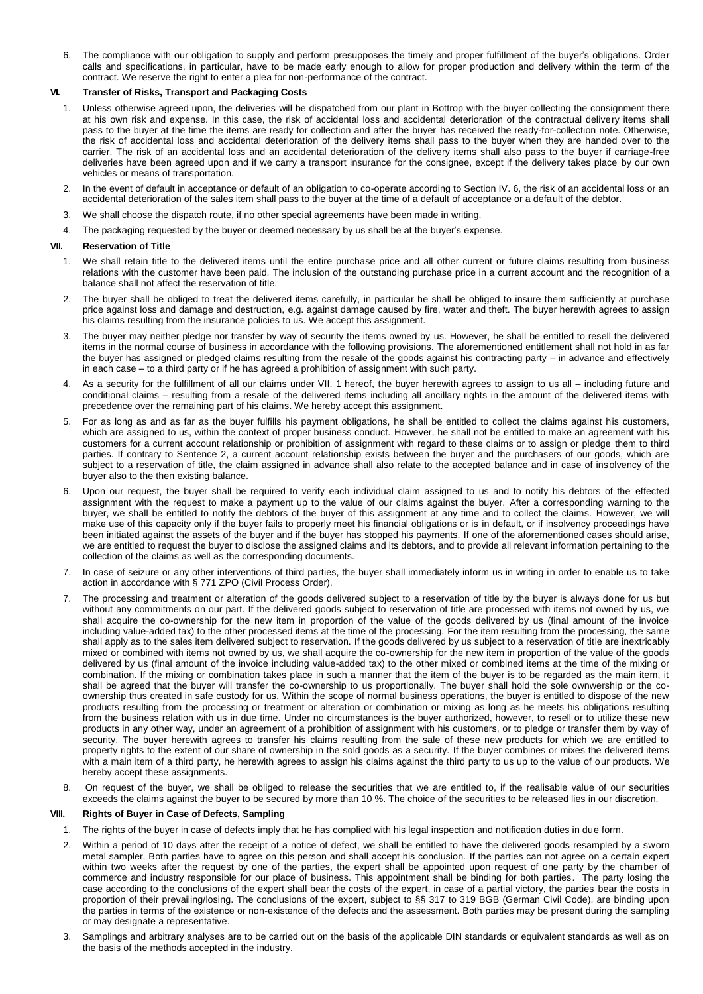6. The compliance with our obligation to supply and perform presupposes the timely and proper fulfillment of the buyer's obligations. Order calls and specifications, in particular, have to be made early enough to allow for proper production and delivery within the term of the contract. We reserve the right to enter a plea for non-performance of the contract.

## **VI. Transfer of Risks, Transport and Packaging Costs**

- 1. Unless otherwise agreed upon, the deliveries will be dispatched from our plant in Bottrop with the buyer collecting the consignment there at his own risk and expense. In this case, the risk of accidental loss and accidental deterioration of the contractual delivery items shall pass to the buyer at the time the items are ready for collection and after the buyer has received the ready-for-collection note. Otherwise, the risk of accidental loss and accidental deterioration of the delivery items shall pass to the buyer when they are handed over to the carrier. The risk of an accidental loss and an accidental deterioration of the delivery items shall also pass to the buyer if carriage-free deliveries have been agreed upon and if we carry a transport insurance for the consignee, except if the delivery takes place by our own vehicles or means of transportation.
- 2. In the event of default in acceptance or default of an obligation to co-operate according to Section IV. 6, the risk of an accidental loss or an accidental deterioration of the sales item shall pass to the buyer at the time of a default of acceptance or a default of the debtor.
- 3. We shall choose the dispatch route, if no other special agreements have been made in writing.
- 4. The packaging requested by the buyer or deemed necessary by us shall be at the buyer's expense.

# **VII. Reservation of Title**

- 1. We shall retain title to the delivered items until the entire purchase price and all other current or future claims resulting from business relations with the customer have been paid. The inclusion of the outstanding purchase price in a current account and the recognition of a balance shall not affect the reservation of title.
- 2. The buyer shall be obliged to treat the delivered items carefully, in particular he shall be obliged to insure them sufficiently at purchase price against loss and damage and destruction, e.g. against damage caused by fire, water and theft. The buyer herewith agrees to assign his claims resulting from the insurance policies to us. We accept this assignment.
- 3. The buyer may neither pledge nor transfer by way of security the items owned by us. However, he shall be entitled to resell the delivered items in the normal course of business in accordance with the following provisions. The aforementioned entitlement shall not hold in as far the buyer has assigned or pledged claims resulting from the resale of the goods against his contracting party – in advance and effectively in each case – to a third party or if he has agreed a prohibition of assignment with such party.
- 4. As a security for the fulfillment of all our claims under VII. 1 hereof, the buyer herewith agrees to assign to us all including future and conditional claims – resulting from a resale of the delivered items including all ancillary rights in the amount of the delivered items with precedence over the remaining part of his claims. We hereby accept this assignment.
- 5. For as long as and as far as the buyer fulfills his payment obligations, he shall be entitled to collect the claims against his customers, which are assigned to us, within the context of proper business conduct. However, he shall not be entitled to make an agreement with his customers for a current account relationship or prohibition of assignment with regard to these claims or to assign or pledge them to third parties. If contrary to Sentence 2, a current account relationship exists between the buyer and the purchasers of our goods, which are subject to a reservation of title, the claim assigned in advance shall also relate to the accepted balance and in case of insolvency of the buyer also to the then existing balance.
- 6. Upon our request, the buyer shall be required to verify each individual claim assigned to us and to notify his debtors of the effected assignment with the request to make a payment up to the value of our claims against the buyer. After a corresponding warning to the buyer, we shall be entitled to notify the debtors of the buyer of this assignment at any time and to collect the claims. However, we will make use of this capacity only if the buyer fails to properly meet his financial obligations or is in default, or if insolvency proceedings have been initiated against the assets of the buyer and if the buyer has stopped his payments. If one of the aforementioned cases should arise, we are entitled to request the buyer to disclose the assigned claims and its debtors, and to provide all relevant information pertaining to the collection of the claims as well as the corresponding documents.
- 7. In case of seizure or any other interventions of third parties, the buyer shall immediately inform us in writing in order to enable us to take action in accordance with § 771 ZPO (Civil Process Order).
- 7. The processing and treatment or alteration of the goods delivered subject to a reservation of title by the buyer is always done for us but without any commitments on our part. If the delivered goods subject to reservation of title are processed with items not owned by us, we shall acquire the co-ownership for the new item in proportion of the value of the goods delivered by us (final amount of the invoice including value-added tax) to the other processed items at the time of the processing. For the item resulting from the processing, the same shall apply as to the sales item delivered subject to reservation. If the goods delivered by us subject to a reservation of title are inextricably mixed or combined with items not owned by us, we shall acquire the co-ownership for the new item in proportion of the value of the goods delivered by us (final amount of the invoice including value-added tax) to the other mixed or combined items at the time of the mixing or combination. If the mixing or combination takes place in such a manner that the item of the buyer is to be regarded as the main item, it shall be agreed that the buyer will transfer the co-ownership to us proportionally. The buyer shall hold the sole ownwership or the coownership thus created in safe custody for us. Within the scope of normal business operations, the buyer is entitled to dispose of the new products resulting from the processing or treatment or alteration or combination or mixing as long as he meets his obligations resulting from the business relation with us in due time. Under no circumstances is the buyer authorized, however, to resell or to utilize these new products in any other way, under an agreement of a prohibition of assignment with his customers, or to pledge or transfer them by way of security. The buyer herewith agrees to transfer his claims resulting from the sale of these new products for which we are entitled to property rights to the extent of our share of ownership in the sold goods as a security. If the buyer combines or mixes the delivered items with a main item of a third party, he herewith agrees to assign his claims against the third party to us up to the value of our products. We hereby accept these assignments.
- 8. On request of the buyer, we shall be obliged to release the securities that we are entitled to, if the realisable value of our securities exceeds the claims against the buyer to be secured by more than 10 %. The choice of the securities to be released lies in our discretion.

### **VIII. Rights of Buyer in Case of Defects, Sampling**

- 1. The rights of the buyer in case of defects imply that he has complied with his legal inspection and notification duties in due form.
- 2. Within a period of 10 days after the receipt of a notice of defect, we shall be entitled to have the delivered goods resampled by a sworn metal sampler. Both parties have to agree on this person and shall accept his conclusion. If the parties can not agree on a certain expert within two weeks after the request by one of the parties, the expert shall be appointed upon request of one party by the chamber of commerce and industry responsible for our place of business. This appointment shall be binding for both parties. The party losing the case according to the conclusions of the expert shall bear the costs of the expert, in case of a partial victory, the parties bear the costs in proportion of their prevailing/losing. The conclusions of the expert, subject to §§ 317 to 319 BGB (German Civil Code), are binding upon the parties in terms of the existence or non-existence of the defects and the assessment. Both parties may be present during the sampling or may designate a representative.
- 3. Samplings and arbitrary analyses are to be carried out on the basis of the applicable DIN standards or equivalent standards as well as on the basis of the methods accepted in the industry.